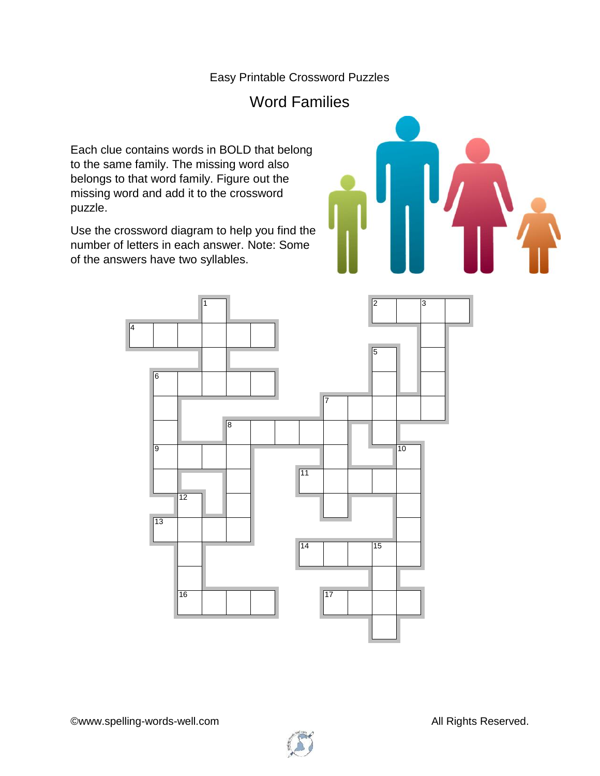## Easy Printable Crossword Puzzles

## Word Families

Each clue contains words in BOLD that belong to the same family. The missing word also belongs to that word family. Figure out the missing word and add it to the crossword puzzle.

Use the crossword diagram to help you find the number of letters in each answer. Note: Some of the answers have two syllables.





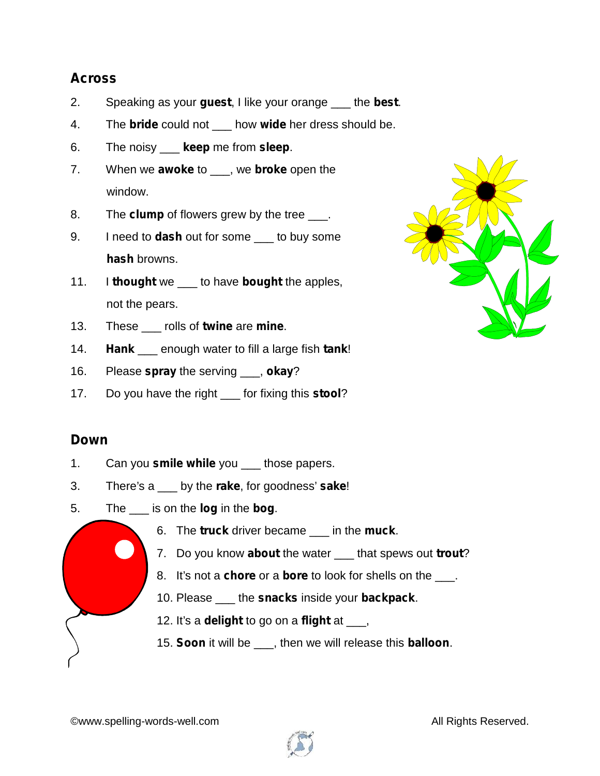## **Across**

- 2. Speaking as your **guest**, I like your orange \_\_\_ the **best**.
- 4. The **bride** could not \_\_\_ how **wide** her dress should be.
- 6. The noisy \_\_\_ **keep** me from **sleep**.
- 7. When we **awoke** to \_\_\_, we **broke** open the window.
- 8. The **clump** of flowers grew by the tree <u>e</u>.
- 9. I need to **dash** out for some \_\_\_ to buy some **hash** browns.
- 11. I **thought** we \_\_\_ to have **bought** the apples, not the pears.
- 13. These \_\_\_ rolls of **twine** are **mine**.
- 14. **Hank** \_\_\_ enough water to fill a large fish **tank**!
- 16. Please **spray** the serving \_\_\_, **okay**?
- 17. Do you have the right \_\_\_ for fixing this **stool**?

## **Down**

- 1. Can you **smile while** you those papers.
- 3. There's a \_\_\_ by the **rake**, for goodness' **sake**!
- 5. The \_\_\_ is on the **log** in the **bog**.
	- 6. The **truck** driver became \_\_\_ in the **muck**.
	- 7. Do you know **about** the water \_\_\_ that spews out **trout**?
	- 8. It's not a **chore** or a **bore** to look for shells on the \_\_\_.
	- 10. Please \_\_\_ the **snacks** inside your **backpack**.
	- 12. It's a **delight** to go on a **flight** at \_\_\_,
	- 15. **Soon** it will be \_\_\_, then we will release this **balloon**.